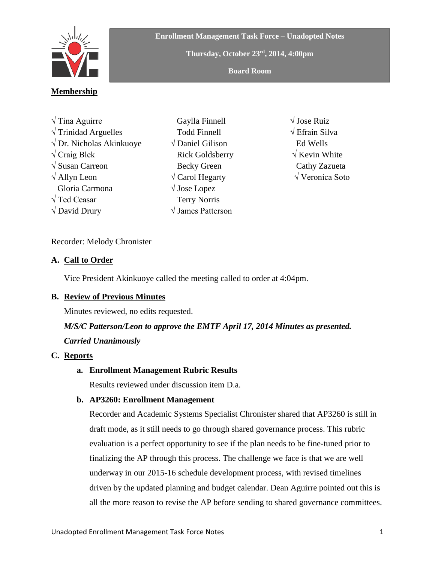

**Enrollment Management Task Force – Unadopted Notes**

**Thursday, October 23rd , 2014, 4:00pm**

**Board Room**

## **Membership**

| $\sqrt{T}$ ina Aguirre             |
|------------------------------------|
| $\sqrt{T}$ rinidad Arguelles       |
| $\sqrt{D}$ r. Nicholas Akinkuoye   |
| $\sqrt{C}$ raig Blek               |
| $\sqrt{\text{Susan}}$ Carreon      |
| $\sqrt{\text{Allyn} \text{ Leon}}$ |
| Gloria Carmona                     |
| $\sqrt{T}$ ed Ceasar               |
| $\sqrt{\rm{David Drury}}$          |

- Gaylla Finnell Todd Finnell √ Daniel Gilison Rick Goldsberry Becky Green √ Carol Hegarty √ Jose Lopez Terry Norris √ James Patterson
- √ Jose Ruiz √ Efrain Silva Ed Wells √ Kevin White Cathy Zazueta √ Veronica Soto

#### Recorder: Melody Chronister

#### **A. Call to Order**

Vice President Akinkuoye called the meeting called to order at 4:04pm.

## **B. Review of Previous Minutes**

Minutes reviewed, no edits requested.

# *M/S/C Patterson/Leon to approve the EMTF April 17, 2014 Minutes as presented.*

## *Carried Unanimously*

## **C. Reports**

## **a. Enrollment Management Rubric Results**

Results reviewed under discussion item D.a.

## **b. AP3260: Enrollment Management**

Recorder and Academic Systems Specialist Chronister shared that AP3260 is still in draft mode, as it still needs to go through shared governance process. This rubric evaluation is a perfect opportunity to see if the plan needs to be fine-tuned prior to finalizing the AP through this process. The challenge we face is that we are well underway in our 2015-16 schedule development process, with revised timelines driven by the updated planning and budget calendar. Dean Aguirre pointed out this is all the more reason to revise the AP before sending to shared governance committees.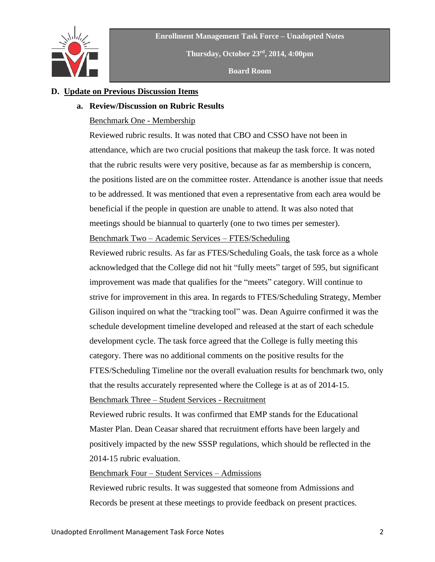



**Thursday, October 23rd , 2014, 4:00pm**

**Board Room**

### **D. Update on Previous Discussion Items**

#### **a. Review/Discussion on Rubric Results**

#### Benchmark One - Membership

Reviewed rubric results. It was noted that CBO and CSSO have not been in attendance, which are two crucial positions that makeup the task force. It was noted that the rubric results were very positive, because as far as membership is concern, the positions listed are on the committee roster. Attendance is another issue that needs to be addressed. It was mentioned that even a representative from each area would be beneficial if the people in question are unable to attend. It was also noted that meetings should be biannual to quarterly (one to two times per semester).

Benchmark Two – Academic Services – FTES/Scheduling

Reviewed rubric results. As far as FTES/Scheduling Goals, the task force as a whole acknowledged that the College did not hit "fully meets" target of 595, but significant improvement was made that qualifies for the "meets" category. Will continue to strive for improvement in this area. In regards to FTES/Scheduling Strategy, Member Gilison inquired on what the "tracking tool" was. Dean Aguirre confirmed it was the schedule development timeline developed and released at the start of each schedule development cycle. The task force agreed that the College is fully meeting this category. There was no additional comments on the positive results for the FTES/Scheduling Timeline nor the overall evaluation results for benchmark two, only that the results accurately represented where the College is at as of 2014-15. Benchmark Three – Student Services - Recruitment

Reviewed rubric results. It was confirmed that EMP stands for the Educational Master Plan. Dean Ceasar shared that recruitment efforts have been largely and positively impacted by the new SSSP regulations, which should be reflected in the 2014-15 rubric evaluation.

#### Benchmark Four – Student Services – Admissions

Reviewed rubric results. It was suggested that someone from Admissions and Records be present at these meetings to provide feedback on present practices.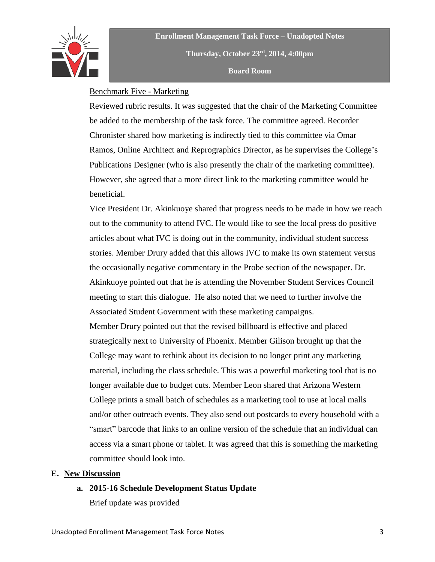

**Enrollment Management Task Force – Unadopted Notes Thursday, October 23rd , 2014, 4:00pm Board Room**

### Benchmark Five - Marketing

Reviewed rubric results. It was suggested that the chair of the Marketing Committee be added to the membership of the task force. The committee agreed. Recorder Chronister shared how marketing is indirectly tied to this committee via Omar Ramos, Online Architect and Reprographics Director, as he supervises the College's Publications Designer (who is also presently the chair of the marketing committee). However, she agreed that a more direct link to the marketing committee would be beneficial.

Vice President Dr. Akinkuoye shared that progress needs to be made in how we reach out to the community to attend IVC. He would like to see the local press do positive articles about what IVC is doing out in the community, individual student success stories. Member Drury added that this allows IVC to make its own statement versus the occasionally negative commentary in the Probe section of the newspaper. Dr. Akinkuoye pointed out that he is attending the November Student Services Council meeting to start this dialogue. He also noted that we need to further involve the Associated Student Government with these marketing campaigns. Member Drury pointed out that the revised billboard is effective and placed strategically next to University of Phoenix. Member Gilison brought up that the College may want to rethink about its decision to no longer print any marketing material, including the class schedule. This was a powerful marketing tool that is no longer available due to budget cuts. Member Leon shared that Arizona Western College prints a small batch of schedules as a marketing tool to use at local malls and/or other outreach events. They also send out postcards to every household with a "smart" barcode that links to an online version of the schedule that an individual can access via a smart phone or tablet. It was agreed that this is something the marketing committee should look into.

#### **E. New Discussion**

#### **a. 2015-16 Schedule Development Status Update**

Brief update was provided